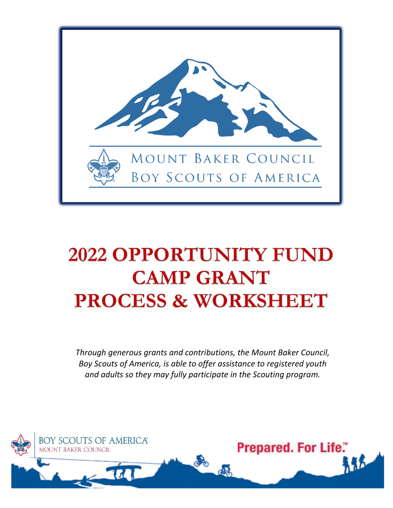

# **2022 OPPORTUNITY FUND CAMP GRANT PROCESS & WORKSHEET**

*Through generous grants and contributions, the Mount Baker Council, Boy Scouts of America, is able to offer assistance to registered youth and adults so they may fully participate in the Scouting program.*

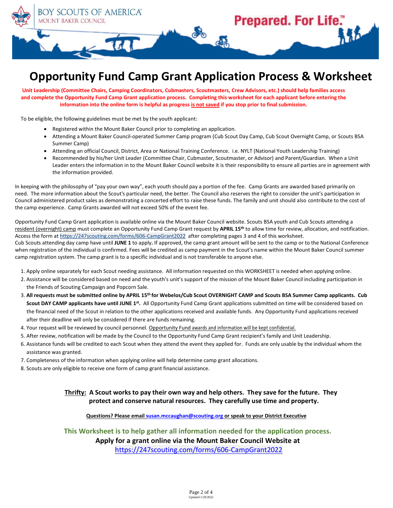

## **Opportunity Fund Camp Grant Application Process & Worksheet**

**Unit Leadership (Committee Chairs, Camping Coordinators, Cubmasters, Scoutmasters, Crew Advisors, etc.) should help families access and complete the Opportunity Fund Camp Grant application process. Completing this worksheet for each applicant before entering the information into the online form is helpful as progress is not saved if you stop prior to final submission.**

To be eligible, the following guidelines must be met by the youth applicant:

- Registered within the Mount Baker Council prior to completing an application.
- Attending a Mount Baker Council-operated Summer Camp program (Cub Scout Day Camp, Cub Scout Overnight Camp, or Scouts BSA Summer Camp)
- Attending an official Council, District, Area or National Training Conference. i.e. NYLT (National Youth Leadership Training)
- Recommended by his/her Unit Leader (Committee Chair, Cubmaster, Scoutmaster, or Advisor) and Parent/Guardian. When a Unit Leader enters the information in to the Mount Baker Council website it is their responsibility to ensure all parties are in agreement with the information provided.

In keeping with the philosophy of "pay your own way", each youth should pay a portion of the fee. Camp Grants are awarded based primarily on need. The more information about the Scout's particular need, the better. The Council also reserves the right to consider the unit's participation in Council administered product sales as demonstrating a concerted effort to raise these funds. The family and unit should also contribute to the cost of the camp experience. Camp Grants awarded will not exceed 50% of the event fee.

Opportunity Fund Camp Grant application is available online via the Mount Baker Council website. Scouts BSA youth and Cub Scouts attending a resident (overnight) camp must complete an Opportunity Fund Camp Grant request by **APRIL 15th** to allow time for review, allocation, and notification. Access the form a[t https://247scouting.com/forms/606-CampGrant2022](https://247scouting.com/forms/606-CampGrant2022) after completing pages 3 and 4 of this worksheet. Cub Scouts attending day camp have until **JUNE 1** to apply**.** If approved, the camp grant amount will be sent to the camp or to the National Conference when registration of the individual is confirmed. Fees will be credited as camp payment in the Scout's name within the Mount Baker Council summer camp registration system. The camp grant is to a specific individual and is not transferable to anyone else.

- 1. Apply online separately for each Scout needing assistance. All information requested on this WORKSHEET is needed when applying online.
- 2. Assistance will be considered based on need and the youth's unit's support of the mission of the Mount Baker Council including participation in the Friends of Scouting Campaign and Popcorn Sale.
- 3. **All requests must be submitted online by APRIL 15 th for Webelos/Cub Scout OVERNIGHT CAMP and Scouts BSA Summer Camp applicants. Cub**  Scout DAY CAMP applicants have until JUNE 1<sup>st</sup>. All Opportunity Fund Camp Grant applications submitted on time will be considered based on the financial need of the Scout in relation to the other applications received and available funds. Any Opportunity Fund applications received after their deadline will only be considered if there are funds remaining.
- 4. Your request will be reviewed by council personnel. Opportunity Fund awards and information will be kept confidential.
- 5. After review, notification will be made by the Council to the Opportunity Fund Camp Grant recipient's family and Unit Leadership.
- 6. Assistance funds will be credited to each Scout when they attend the event they applied for. Funds are only usable by the individual whom the assistance was granted.
- 7. Completeness of the information when applying online will help determine camp grant allocations.
- 8. Scouts are only eligible to receive one form of camp grant financial assistance.

#### **Thrifty: A Scout works to pay their own way and help others. They save for the future. They protect and conserve natural resources. They carefully use time and property.**

**Questions? Please emai[l susan.mccaughan@scouting.org](mailto:susan.mccaughan@scouting.org) or speak to your District Executive**

**This Worksheet is to help gather all information needed for the application process.**

**Apply for a grant online via the Mount Baker Council Website at** 

<https://247scouting.com/forms/606-CampGrant2022>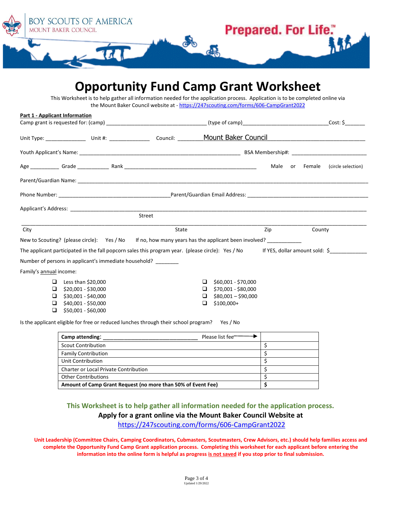

**Opportunity Fund Camp Grant Worksheet**

| <b>Part 1 - Applicant Information</b>                                                                                                                  |  |        |                                                                                                           |  |                                |  |        |                    |
|--------------------------------------------------------------------------------------------------------------------------------------------------------|--|--------|-----------------------------------------------------------------------------------------------------------|--|--------------------------------|--|--------|--------------------|
|                                                                                                                                                        |  |        |                                                                                                           |  |                                |  |        | $Cost: \mathsf{S}$ |
|                                                                                                                                                        |  |        |                                                                                                           |  |                                |  |        |                    |
|                                                                                                                                                        |  |        |                                                                                                           |  |                                |  |        |                    |
|                                                                                                                                                        |  |        |                                                                                                           |  | Male or                        |  | Female | (circle selection) |
|                                                                                                                                                        |  |        |                                                                                                           |  |                                |  |        |                    |
|                                                                                                                                                        |  |        |                                                                                                           |  |                                |  |        |                    |
|                                                                                                                                                        |  |        |                                                                                                           |  |                                |  |        |                    |
|                                                                                                                                                        |  | Street |                                                                                                           |  |                                |  |        |                    |
| City                                                                                                                                                   |  |        | State                                                                                                     |  | Zip<br>County                  |  |        |                    |
| New to Scouting? (please circle): Yes / No If no, how many years has the applicant been involved? _________                                            |  |        |                                                                                                           |  |                                |  |        |                    |
|                                                                                                                                                        |  |        | The applicant participated in the fall popcorn sales this program year. (please circle): Yes / No         |  | If YES, dollar amount sold: \$ |  |        |                    |
| Number of persons in applicant's immediate household?                                                                                                  |  |        |                                                                                                           |  |                                |  |        |                    |
| Family's annual income:                                                                                                                                |  |        |                                                                                                           |  |                                |  |        |                    |
| Less than \$20,000<br>$\Box$<br>$\Box$ \$20,001 - \$30,000<br>$\Box$ \$30,001 - \$40,000<br>\$40,001 - \$50,000<br>□.<br>\$50,001 - \$60,000<br>$\Box$ |  |        | \$60,001 - \$70,000<br>□<br>\$70,001 - \$80,000<br>$\Box$<br>$$80,001 - $90,000$<br>□<br>$$100,000+$<br>◻ |  |                                |  |        |                    |
|                                                                                                                                                        |  |        |                                                                                                           |  |                                |  |        |                    |

| Camp attending:                                              | Please list fee- |  |
|--------------------------------------------------------------|------------------|--|
| <b>Scout Contribution</b>                                    |                  |  |
| <b>Family Contribution</b>                                   |                  |  |
| Unit Contribution                                            |                  |  |
| <b>Charter or Local Private Contribution</b>                 |                  |  |
| <b>Other Contributions</b>                                   |                  |  |
| Amount of Camp Grant Request (no more than 50% of Event Fee) |                  |  |

### **This Worksheet is to help gather all information needed for the application process. Apply for a grant online via the Mount Baker Council Website at**  <https://247scouting.com/forms/606-CampGrant2022>

**Unit Leadership (Committee Chairs, Camping Coordinators, Cubmasters, Scoutmasters, Crew Advisors, etc.) should help families access and complete the Opportunity Fund Camp Grant application process. Completing this worksheet for each applicant before entering the information into the online form is helpful as progress is not saved if you stop prior to final submission.**